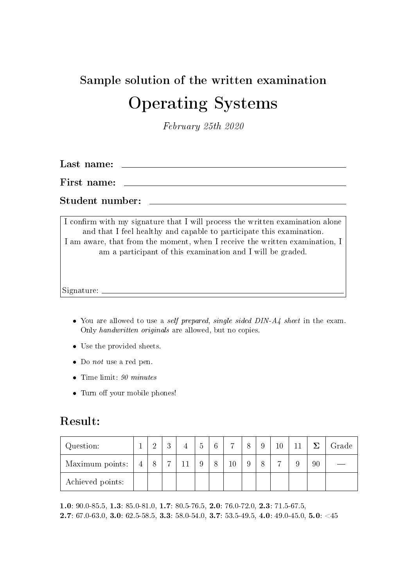### Sample solution of the written examination Operating Systems

February 25th 2020

Last name:

First name:

Student number:

I confirm with my signature that I will process the written examination alone and that I feel healthy and capable to participate this examination. I am aware, that from the moment, when I receive the written examination, I am a participant of this examination and I will be graded.

Signature:

- You are allowed to use a self prepared, single sided DIN-A4 sheet in the exam. Only handwritten originals are allowed, but no copies.
- Use the provided sheets.
- Do not use a red pen.
- Time limit:  $90 \text{ minutes}$
- Turn off your mobile phones!

#### Result:

| Question:        |                | ച | $\Omega$ |  | $6\phantom{.}6$ | $\overline{ }$ |  |  |    | Grade |
|------------------|----------------|---|----------|--|-----------------|----------------|--|--|----|-------|
| Maximum points:  | $\overline{4}$ |   |          |  |                 | 10             |  |  | 90 |       |
| Achieved points: |                |   |          |  |                 |                |  |  |    |       |

1.0: 90.0-85.5, 1.3: 85.0-81.0, 1.7: 80.5-76.5, 2.0: 76.0-72.0, 2.3: 71.5-67.5, **2.7**: 67.0-63.0, **3.0**: 62.5-58.5, **3.3**: 58.0-54.0, **3.7**: 53.5-49.5, **4.0**: 49.0-45.0, **5.0**: <45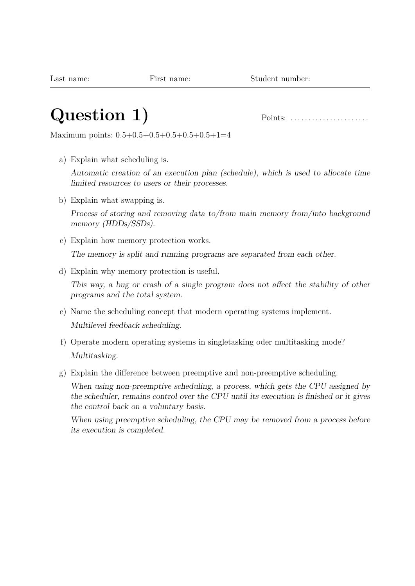# **Question 1)** Points: . . . . . . . . . . . . . . . . . . . . . .

Maximum points: 0.5+0.5+0.5+0.5+0.5+0.5+1=4

a) Explain what scheduling is.

Automatic creation of an execution plan (schedule), which is used to allocate time limited resources to users or their processes.

b) Explain what swapping is.

Process of storing and removing data to/from main memory from/into background memory (HDDs/SSDs).

- c) Explain how memory protection works. The memory is split and running programs are separated from each other.
- d) Explain why memory protection is useful.

This way, a bug or crash of a single program does not affect the stability of other programs and the total system.

- e) Name the scheduling concept that modern operating systems implement. Multilevel feedback scheduling.
- f) Operate modern operating systems in singletasking oder multitasking mode? Multitasking.
- g) Explain the difference between preemptive and non-preemptive scheduling.

When using non-preemptive scheduling, a process, which gets the CPU assigned by the scheduler, remains control over the CPU until its execution is finished or it gives the control back on a voluntary basis.

When using preemptive scheduling, the CPU may be removed from a process before its execution is completed.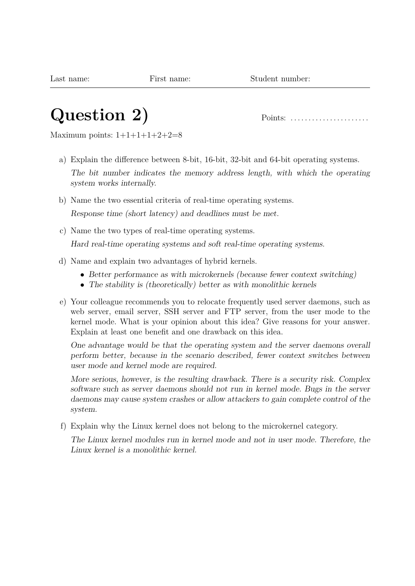### **Question 2)** Points: . . . . . . . . . . . . . . . . . . . . . .

Maximum points:  $1+1+1+1+2+2=8$ 

a) Explain the difference between 8-bit, 16-bit, 32-bit and 64-bit operating systems. The bit number indicates the memory address length, with which the operating system works internally.

b) Name the two essential criteria of real-time operating systems.

Response time (short latency) and deadlines must be met.

c) Name the two types of real-time operating systems.

Hard real-time operating systems and soft real-time operating systems.

- d) Name and explain two advantages of hybrid kernels.
	- Better performance as with microkernels (because fewer context switching)
	- The stability is (theoretically) better as with monolithic kernels
- e) Your colleague recommends you to relocate frequently used server daemons, such as web server, email server, SSH server and FTP server, from the user mode to the kernel mode. What is your opinion about this idea? Give reasons for your answer. Explain at least one benefit and one drawback on this idea.

One advantage would be that the operating system and the server daemons overall perform better, because in the scenario described, fewer context switches between user mode and kernel mode are required.

More serious, however, is the resulting drawback. There is a security risk. Complex software such as server daemons should not run in kernel mode. Bugs in the server daemons may cause system crashes or allow attackers to gain complete control of the system.

f) Explain why the Linux kernel does not belong to the microkernel category.

The Linux kernel modules run in kernel mode and not in user mode. Therefore, the Linux kernel is a monolithic kernel.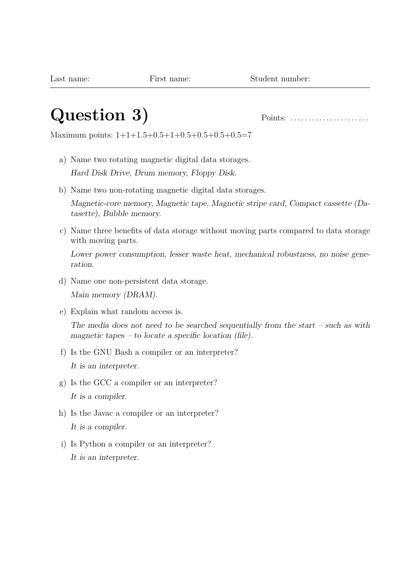#### **Question 3)** Points: . . . . . . . . . . . . . . . . . . . . . .

Maximum points: 1+1+1.5+0.5+1+0.5+0.5+0.5+0.5=7

- a) Name two rotating magnetic digital data storages. Hard Disk Drive, Drum memory, Floppy Disk.
- b) Name two non-rotating magnetic digital data storages.

Magnetic-core memory, Magnetic tape, Magnetic stripe card, Compact cassette (Datasette), Bubble memory.

c) Name three benefits of data storage without moving parts compared to data storage with moving parts.

Lower power consumption, lesser waste heat, mechanical robustness, no noise generation.

- d) Name one non-persistent data storage. Main memory (DRAM).
- e) Explain what random access is. The media does not need to be searched sequentially from the start – such as with magnetic tapes – to locate a specific location (file).
- f) Is the GNU Bash a compiler or an interpreter? It is an interpreter.
- g) Is the GCC a compiler or an interpreter? It is a compiler.
- h) Is the Javac a compiler or an interpreter? It is a compiler.
- i) Is Python a compiler or an interpreter? It is an interpreter.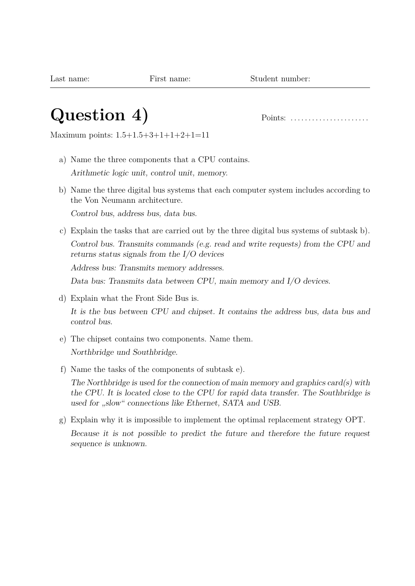#### **Question 4)** Points: . . . . . . . . . . . . . . . . . . . . . .

Maximum points: 1.5+1.5+3+1+1+2+1=11

- a) Name the three components that a CPU contains. Arithmetic logic unit, control unit, memory.
- b) Name the three digital bus systems that each computer system includes according to the Von Neumann architecture.

Control bus, address bus, data bus.

c) Explain the tasks that are carried out by the three digital bus systems of subtask b). Control bus. Transmits commands (e.g. read and write requests) from the CPU and returns status signals from the I/O devices

Address bus: Transmits memory addresses.

Data bus: Transmits data between CPU, main memory and I/O devices.

d) Explain what the Front Side Bus is.

It is the bus between CPU and chipset. It contains the address bus, data bus and control bus.

- e) The chipset contains two components. Name them. Northbridge und Southbridge.
- f) Name the tasks of the components of subtask e).

The Northbridge is used for the connection of main memory and graphics card(s) with the CPU. It is located close to the CPU for rapid data transfer. The Southbridge is used for "slow" connections like Ethernet, SATA and USB.

g) Explain why it is impossible to implement the optimal replacement strategy OPT. Because it is not possible to predict the future and therefore the future request sequence is unknown.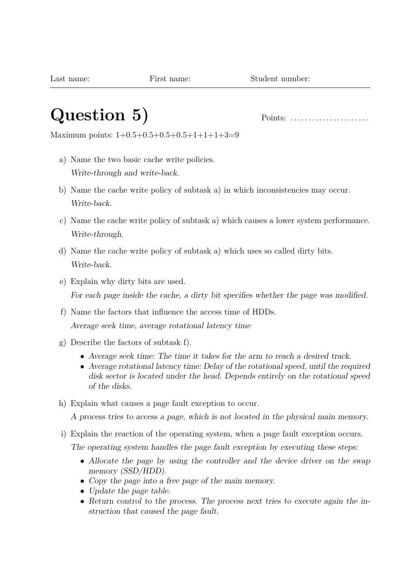### **Question 5)** Points: . . . . . . . . . . . . . . . . . . . . . .

Maximum points: 1+0.5+0.5+0.5+0.5+1+1+1+3=9

- a) Name the two basic cache write policies. Write-through and write-back.
- b) Name the cache write policy of subtask a) in which inconsistencies may occur. Write-back.
- c) Name the cache write policy of subtask a) which causes a lower system performance. Write-through.
- d) Name the cache write policy of subtask a) which uses so called dirty bits. Write-back.
- e) Explain why dirty bits are used. For each page inside the cache, a dirty bit specifies whether the page was modified.
- f) Name the factors that influence the access time of HDDs. Average seek time, average rotational latency time
- g) Describe the factors of subtask f).
	- Average seek time: The time it takes for the arm to reach a desired track.
	- Average rotational latency time: Delay of the rotational speed, until the required disk sector is located under the head. Depends entirely on the rotational speed of the disks.
- h) Explain what causes a page fault exception to occur.

A process tries to access a page, which is not located in the physical main memory.

i) Explain the reaction of the operating system, when a page fault exception occurs.

The operating system handles the page fault exception by executing these steps:

- Allocate the page by using the controller and the device driver on the swap memory (SSD/HDD).
- Copy the page into a free page of the main memory.
- Update the page table.
- Return control to the process. The process next tries to execute again the instruction that caused the page fault.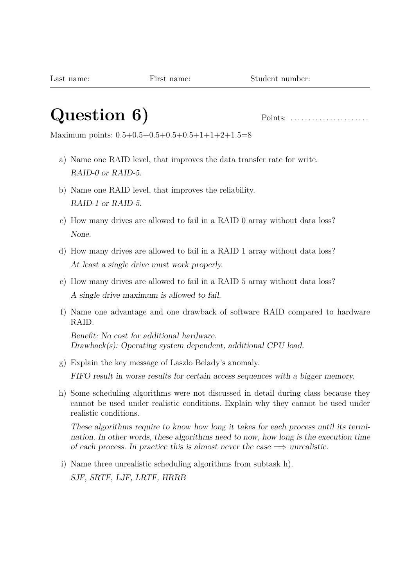## **Question 6)** Points: . . . . . . . . . . . . . . . . . . . . . .

Maximum points: 0.5+0.5+0.5+0.5+0.5+1+1+2+1.5=8

- a) Name one RAID level, that improves the data transfer rate for write. RAID-0 or RAID-5.
- b) Name one RAID level, that improves the reliability. RAID-1 or RAID-5.
- c) How many drives are allowed to fail in a RAID 0 array without data loss? None.
- d) How many drives are allowed to fail in a RAID 1 array without data loss? At least a single drive must work properly.
- e) How many drives are allowed to fail in a RAID 5 array without data loss? A single drive maximum is allowed to fail.
- f) Name one advantage and one drawback of software RAID compared to hardware RAID.

Benefit: No cost for additional hardware. Drawback(s): Operating system dependent, additional CPU load.

- g) Explain the key message of Laszlo Belady's anomaly. FIFO result in worse results for certain access sequences with a bigger memory.
- h) Some scheduling algorithms were not discussed in detail during class because they cannot be used under realistic conditions. Explain why they cannot be used under realistic conditions.

These algorithms require to know how long it takes for each process until its termination. In other words, these algorithms need to now, how long is the execution time of each process. In practice this is almost never the case  $\implies$  unrealistic.

i) Name three unrealistic scheduling algorithms from subtask h). SJF, SRTF, LJF, LRTF, HRRB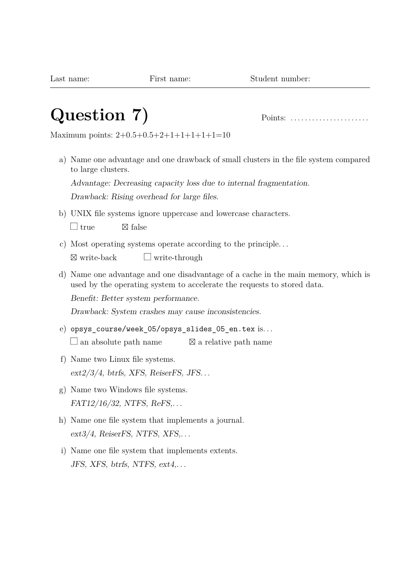## **Question 7)** Points: . . . . . . . . . . . . . . . . . . . . . .

Maximum points: 2+0.5+0.5+2+1+1+1+1+1=10

a) Name one advantage and one drawback of small clusters in the file system compared to large clusters.

Advantage: Decreasing capacity loss due to internal fragmentation. Drawback: Rising overhead for large files.

- b) UNIX file systems ignore uppercase and lowercase characters.  $\Box$  true  $\boxtimes$  false
- c) Most operating systems operate according to the principle. . .  $\boxtimes$  write-back  $\Box$  write-through
- d) Name one advantage and one disadvantage of a cache in the main memory, which is used by the operating system to accelerate the requests to stored data.

Benefit: Better system performance.

Drawback: System crashes may cause inconsistencies.

- e) opsys\_course/week\_05/opsys\_slides\_05\_en.tex is. . .  $\Box$  an absolute path name  $\boxtimes$  a relative path name
- f) Name two Linux file systems.  $ext2/3/4$ , btrfs, XFS, ReiserFS, JFS...
- g) Name two Windows file systems. FAT12/16/32, NTFS, ReFS,. . .
- h) Name one file system that implements a journal.  $ext{3/4}$ , ReiserFS, NTFS, XFS,...
- i) Name one file system that implements extents. JFS, XFS, btrfs, NTFS, ext4,. . .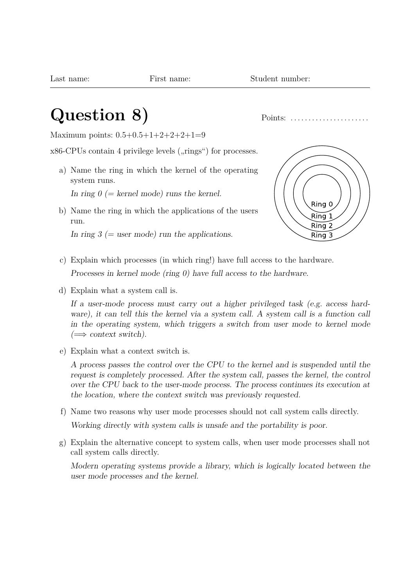#### **Question 8)** Points: . . . . . . . . . . . . . . . . . . . . . .

Maximum points: 0.5+0.5+1+2+2+2+1=9

 $x86$ -CPUs contain 4 privilege levels  $($ "rings") for processes.

a) Name the ring in which the kernel of the operating system runs.

In ring  $0 (= k$ ernel mode) runs the kernel.

b) Name the ring in which the applications of the users run.

In ring  $3$  (= user mode) run the applications.



c) Explain which processes (in which ring!) have full access to the hardware.

Processes in kernel mode (ring 0) have full access to the hardware.

d) Explain what a system call is.

If a user-mode process must carry out a higher privileged task (e.g. access hardware), it can tell this the kernel via a system call. A system call is a function call in the operating system, which triggers a switch from user mode to kernel mode  $(\Longrightarrow$  context switch).

e) Explain what a context switch is.

A process passes the control over the CPU to the kernel and is suspended until the request is completely processed. After the system call, passes the kernel, the control over the CPU back to the user-mode process. The process continues its execution at the location, where the context switch was previously requested.

- f) Name two reasons why user mode processes should not call system calls directly. Working directly with system calls is unsafe and the portability is poor.
- g) Explain the alternative concept to system calls, when user mode processes shall not call system calls directly.

Modern operating systems provide a library, which is logically located between the user mode processes and the kernel.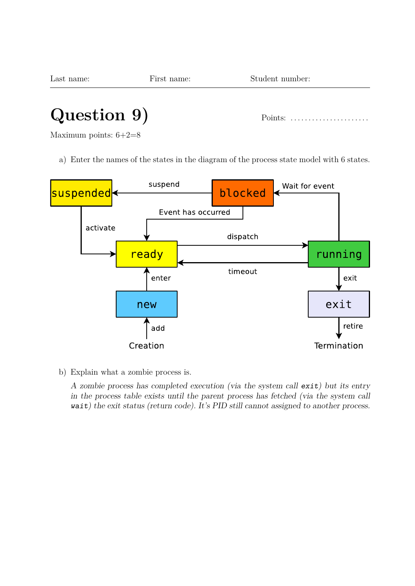| Last name: | First name: | Student number: |
|------------|-------------|-----------------|
|            |             |                 |

## **Question 9)** Points: . . . . . . . . . . . . . . . . . . . . . .

Maximum points: 6+2=8

a) Enter the names of the states in the diagram of the process state model with 6 states.



b) Explain what a zombie process is.

A zombie process has completed execution (via the system call exit) but its entry in the process table exists until the parent process has fetched (via the system call wait) the exit status (return code). It's PID still cannot assigned to another process.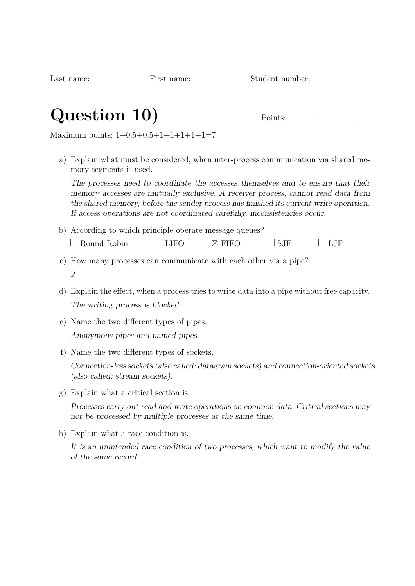## **Question 10)** Points: . . . . . . . . . . . . . . . . . . . . . .

Maximum points: 1+0.5+0.5+1+1+1+1+1=7

a) Explain what must be considered, when inter-process communication via shared memory segments is used.

The processes need to coordinate the accesses themselves and to ensure that their memory accesses are mutually exclusive. A receiver process, cannot read data from the shared memory, before the sender process has finished its current write operation. If access operations are not coordinated carefully, inconsistencies occur.

- b) According to which principle operate message queues?  $\Box$  Round Robin  $\Box$  LIFO  $\Box$  FIFO  $\Box$  SJF  $\Box$  LJF
- c) How many processes can communicate with each other via a pipe? 2
- d) Explain the effect, when a process tries to write data into a pipe without free capacity. The writing process is blocked.
- e) Name the two different types of pipes.
	- Anonymous pipes and named pipes.
- f) Name the two different types of sockets.

Connection-less sockets (also called: datagram sockets) and connection-oriented sockets (also called: stream sockets).

g) Explain what a critical section is.

Processes carry out read and write operations on common data. Critical sections may not be processed by multiple processes at the same time.

h) Explain what a race condition is.

It is an unintended race condition of two processes, which want to modify the value of the same record.